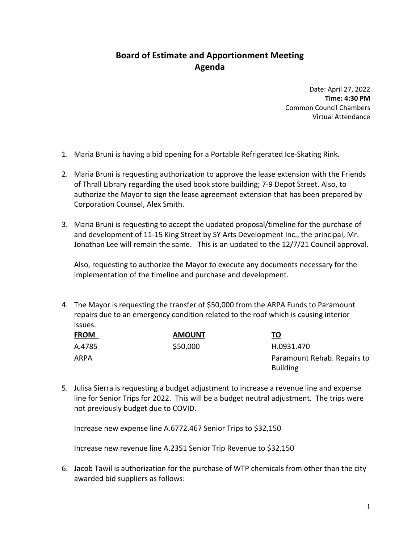## **Board of Estimate and Apportionment Meeting Agenda**

Date: April 27, 2022 **Time: 4:30 PM** Common Council Chambers Virtual Attendance

- 1. Maria Bruni is having a bid opening for a Portable Refrigerated Ice‐Skating Rink.
- 2. Maria Bruni is requesting authorization to approve the lease extension with the Friends of Thrall Library regarding the used book store building; 7‐9 Depot Street. Also, to authorize the Mayor to sign the lease agreement extension that has been prepared by Corporation Counsel, Alex Smith.
- 3. Maria Bruni is requesting to accept the updated proposal/timeline for the purchase of and development of 11‐15 King Street by SY Arts Development Inc., the principal, Mr. Jonathan Lee will remain the same. This is an updated to the 12/7/21 Council approval.

Also, requesting to authorize the Mayor to execute any documents necessary for the implementation of the timeline and purchase and development.

4. The Mayor is requesting the transfer of \$50,000 from the ARPA Funds to Paramount repairs due to an emergency condition related to the roof which is causing interior issues.

| <b>FROM</b> | <b>AMOUNT</b> | <u>TO</u>                                      |
|-------------|---------------|------------------------------------------------|
| A.4785      | \$50,000      | H.0931.470                                     |
| ARPA        |               | Paramount Rehab. Repairs to<br><b>Building</b> |

5. Julisa Sierra is requesting a budget adjustment to increase a revenue line and expense line for Senior Trips for 2022. This will be a budget neutral adjustment. The trips were not previously budget due to COVID.

Increase new expense line A.6772.467 Senior Trips to \$32,150

Increase new revenue line A.2351 Senior Trip Revenue to \$32,150

6. Jacob Tawil is authorization for the purchase of WTP chemicals from other than the city awarded bid suppliers as follows: